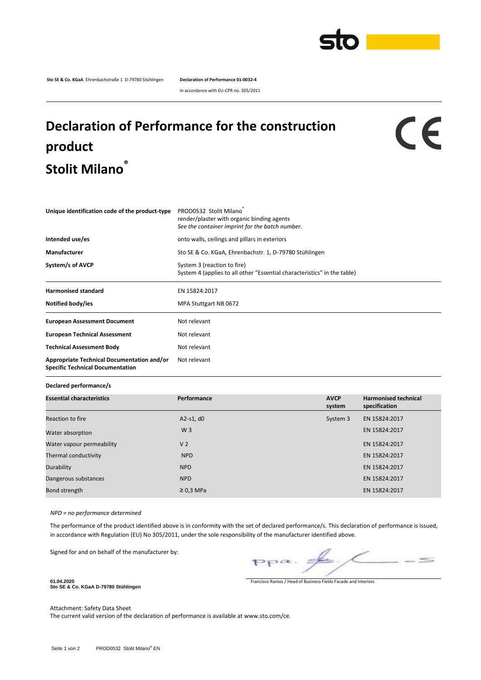

**Sto SE & Co. KGaA** Ehrenbachstraße 1 D-79780 Stühlingen **Declaration of Performance 01-0032-4**

In accordance with EU-CPR no. 305/2011

## **Declaration of Performance for the construction product Stolit Milano®**

## CE

| Unique identification code of the product-type                                        | PROD0532 Stolit Milano<br>render/plaster with organic binding agents<br>See the container imprint for the batch number. |  |  |  |
|---------------------------------------------------------------------------------------|-------------------------------------------------------------------------------------------------------------------------|--|--|--|
| Intended use/es                                                                       | onto walls, ceilings and pillars in exteriors                                                                           |  |  |  |
| Manufacturer                                                                          | Sto SE & Co. KGaA, Ehrenbachstr. 1, D-79780 Stühlingen                                                                  |  |  |  |
| System/s of AVCP                                                                      | System 3 (reaction to fire)<br>System 4 (applies to all other "Essential characteristics" in the table)                 |  |  |  |
| <b>Harmonised standard</b>                                                            | EN 15824:2017                                                                                                           |  |  |  |
| Notified body/ies                                                                     | MPA Stuttgart NB 0672                                                                                                   |  |  |  |
| <b>European Assessment Document</b>                                                   | Not relevant                                                                                                            |  |  |  |
| <b>European Technical Assessment</b>                                                  | Not relevant                                                                                                            |  |  |  |
| <b>Technical Assessment Body</b>                                                      | Not relevant                                                                                                            |  |  |  |
| <b>Appropriate Technical Documentation and/or</b><br>Specific Technical Documentation | Not relevant                                                                                                            |  |  |  |

## **Declared performance/s**

| <b>Essential characteristics</b> | Performance    | <b>AVCP</b><br>system | <b>Harmonised technical</b><br>specification |  |
|----------------------------------|----------------|-----------------------|----------------------------------------------|--|
| Reaction to fire                 | A2-s1, $d0$    | System 3              | EN 15824:2017                                |  |
| Water absorption                 | W <sub>3</sub> |                       | EN 15824:2017                                |  |
| Water vapour permeability        | V <sub>2</sub> |                       | EN 15824:2017                                |  |
| Thermal conductivity             | <b>NPD</b>     |                       | EN 15824:2017                                |  |
| Durability                       | <b>NPD</b>     |                       | EN 15824:2017                                |  |
| Dangerous substances             | <b>NPD</b>     |                       | EN 15824:2017                                |  |
| Bond strength                    | $\geq$ 0.3 MPa |                       | EN 15824:2017                                |  |

*NPD = no performance determined*

The performance of the product identified above is in conformity with the set of declared performance/s. This declaration of performance is issued, in accordance with Regulation (EU) No 305/2011, under the sole responsibility of the manufacturer identified above.

Signed for and on behalf of the manufacturer by:

**01.04.2020 Sto SE & Co. KGaA D-79780 Stühlingen**

 $\leq$  $PP^{\alpha}$ .

Francisco Ramos / Head of Business Fields Facade and Interiors

Attachment: Safety Data Sheet The current valid version of the declaration of performance is available at www.sto.com/ce.